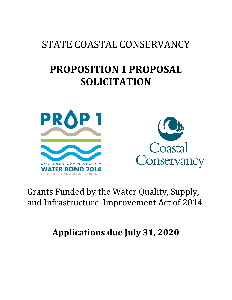# STATE COASTAL CONSERVANCY

# **PROPOSITION 1 PROPOSAL SOLICITATION**





## Grants Funded by the Water Quality, Supply, and Infrastructure Improvement Act of 2014

**Applications due July 31, 2020**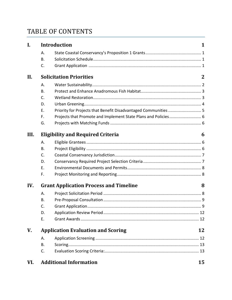### TABLE OF CONTENTS

| I.   |                                               | <b>Introduction</b>                                             | 1  |
|------|-----------------------------------------------|-----------------------------------------------------------------|----|
|      | Α.                                            |                                                                 |    |
|      | <b>B.</b>                                     |                                                                 |    |
|      | C.                                            |                                                                 |    |
| II.  | <b>Solicitation Priorities</b>                |                                                                 |    |
|      | Α.                                            |                                                                 |    |
|      | В.                                            |                                                                 |    |
|      | C.                                            |                                                                 |    |
|      | D.                                            |                                                                 |    |
|      | Ε.                                            | Priority for Projects that Benefit Disadvantaged Communities  5 |    |
|      | F.                                            | Projects that Promote and Implement State Plans and Policies 6  |    |
|      | G.                                            |                                                                 |    |
| III. | <b>Eligibility and Required Criteria</b>      |                                                                 | 6  |
|      | A.                                            |                                                                 |    |
|      | В.                                            |                                                                 |    |
|      | C.                                            |                                                                 |    |
|      | D.                                            |                                                                 |    |
|      | E.                                            |                                                                 |    |
|      | F.                                            |                                                                 |    |
| IV.  | <b>Grant Application Process and Timeline</b> |                                                                 | 8  |
|      | Α.                                            |                                                                 |    |
|      | <b>B.</b>                                     |                                                                 |    |
|      | C.                                            |                                                                 |    |
|      | D.                                            |                                                                 |    |
|      | Ε.                                            |                                                                 |    |
| V.   | <b>Application Evaluation and Scoring</b>     |                                                                 | 12 |
|      | Α.                                            |                                                                 |    |
|      | В.                                            |                                                                 |    |
|      | C.                                            |                                                                 |    |
| VI.  |                                               | <b>Additional Information</b>                                   | 15 |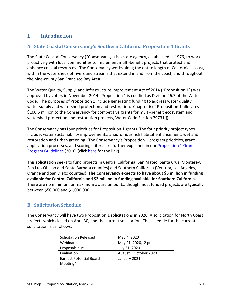#### <span id="page-3-0"></span>**I. Introduction**

#### <span id="page-3-1"></span>**A. State Coastal Conservancy's Southern California Proposition 1 Grants**

The State Coastal Conservancy ("Conservancy") is a state agency, established in 1976, to work proactively with local communities to implement multi-benefit projects that protect and enhance coastal resources. The Conservancy works along the entire length of California's coast, within the watersheds of rivers and streams that extend inland from the coast, and throughout the nine-county San Francisco Bay Area.

The Water Quality, Supply, and Infrastructure Improvement Act of 2014 ("Proposition 1") was approved by voters in November 2014. Proposition 1 is codified as Division 26.7 of the Water Code. The purposes of Proposition 1 include generating funding to address water quality, water supply and watershed protection and restoration. Chapter 6 of Proposition 1 allocates \$100.5 million to the Conservancy for competitive grants for multi-benefit ecosystem and watershed protection and restoration projects, Water Code Section 79731(j).

The Conservancy has four priorities for Proposition 1 grants. The four priority project types include: water sustainability improvements, anadromous fish habitat enhancement, wetland restoration and urban greening. The Conservancy's Proposition 1 program priorities, grant application processes, and scoring criteria are further explained in our **Proposition 1 Grant** [Program Guidelines](https://scc.ca.gov/files/2019/11/Prop-1-Guidelines-Sept-2016-AB434-compliant.pdf) (2016) (click [here](https://scc.ca.gov/files/2019/11/Prop-1-Guidelines-Sept-2016-AB434-compliant.pdf) for the link).

This solicitation seeks to fund projects in Central California (San Mateo, Santa Cruz, Monterey, San Luis Obispo and Santa Barbara counties) and Southern California (Ventura, Los Angeles, Orange and San Diego counties). **The Conservancy expects to have about \$3 million in funding available for Central California and \$2 million in funding available for Southern California.** There are no minimum or maximum award amounts, though most funded projects are typically between \$50,000 and \$1,000,000.

#### <span id="page-3-2"></span>**B. Solicitation Schedule**

The Conservancy will have two Proposition 1 solicitations in 2020. A solicitation for North Coast projects which closed on April 30, and the current solicitation. The schedule for the current solicitation is as follows:

| <b>Solicitation Released</b>    | May 4, 2020           |
|---------------------------------|-----------------------|
| Webinar                         | May 21, 2020, 2 pm    |
| Proposals due                   | July 31, 2020         |
| Evaluation                      | August - October 2020 |
| <b>Earliest Potential Board</b> | January 2021          |
| Meeting*                        |                       |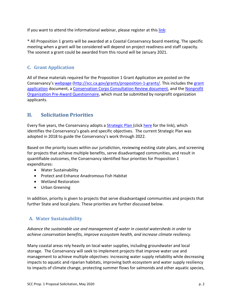If you want to attend the informational webinar, please register at thi[s link:](https://attendee.gotowebinar.com/register/7108520101384291088)

\* All Proposition 1 grants will be awarded at a Coastal Conservancy board meeting. The specific meeting when a grant will be considered will depend on project readiness and staff capacity. The soonest a grant could be awarded from this round will be January 2021.

#### **C. Grant Application**

All of these materials required for the Proposition 1 Grant Application are posted on the Conservancy's [webpage](http://scc.ca.gov/grants/proposition-1-grants/) [\(http://scc.ca.gov/grants/proposition-1-grants/.](http://scc.ca.gov/grants/proposition-1-grants/) This includes the [grant](https://scc.ca.gov/files/2020/02/SCC_P1R12_-application.docx)  [application](https://scc.ca.gov/files/2020/02/SCC_P1R12_-application.docx) document, a [Conservation Corps Consultation Review](http://scc.ca.gov/files/2018/12/2018-Corps-Prop-1-Consultation-Process-and-Form-Rev.-12-2018.pdf) document, and the [Nonprofit](https://scc.ca.gov/files/2019/07/SCC_Grant_Appl-NPO_PreAwardQuestionnaire.pdf)  [Organization Pre-Award Questionnaire,](https://scc.ca.gov/files/2019/07/SCC_Grant_Appl-NPO_PreAwardQuestionnaire.pdf) which must be submitted by nonprofit organization applicants.

#### <span id="page-4-0"></span>**II. Solicitation Priorities**

<span id="page-4-1"></span>Every five years, the Conservancy adopts a [Strategic Plan](https://scc.ca.gov/files/2019/10/Strategic-Plan-2018-2022-AB434.pdf) (click [here](https://scc.ca.gov/files/2019/10/Strategic-Plan-2018-2022-AB434.pdf) for the link), which identifies the Conservancy's goals and specific objectives. The current Strategic Plan was adopted in 2018 to guide the Conservancy's work through 2022.

Based on the priority issues within our jurisdiction, reviewing existing state plans, and screening for projects that achieve multiple benefits, serve disadvantaged communities, and result in quantifiable outcomes, the Conservancy identified four priorities for Proposition 1 expenditures:

- Water Sustainability
- Protect and Enhance Anadromous Fish Habitat
- Wetland Restoration
- Urban Greening

In addition, priority is given to projects that serve disadvantaged communities and projects that further State and local plans. These priorities are further discussed below.

#### **A. Water Sustainability**

*Advance the sustainable use and management of water in coastal watersheds in order to achieve conservation benefits, improve ecosystem health, and increase climate resiliency.*

Many coastal areas rely heavily on local water supplies, including groundwater and local storage. The Conservancy will seek to implement projects that improve water use and management to achieve multiple objectives: increasing water supply reliability while decreasing impacts to aquatic and riparian habitats, improving both ecosystem and water supply resiliency to impacts of climate change, protecting summer flows for salmonids and other aquatic species,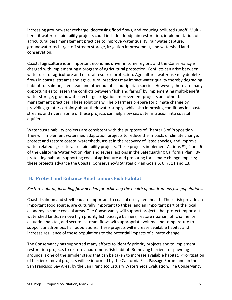increasing groundwater recharge, decreasing flood flows, and reducing polluted runoff. Multibenefit water sustainability projects could include: floodplain restoration, implementation of agricultural best management practices to improve water quality, rainwater capture, groundwater recharge, off stream storage, irrigation improvement, and watershed land conservation.

Coastal agriculture is an important economic driver in some regions and the Conservancy is charged with implementing a program of agricultural protection. Conflicts can arise between water use for agriculture and natural resource protection. Agricultural water use may deplete flows in coastal streams and agricultural practices may impact water quality thereby degrading habitat for salmon, steelhead and other aquatic and riparian species. However, there are many opportunities to lessen the conflicts between "fish and farms" by implementing multi-benefit water storage, groundwater recharge, irrigation improvement projects and other best management practices. These solutions will help farmers prepare for climate change by providing greater certainty about their water supply, while also improving conditions in coastal streams and rivers. Some of these projects can help slow seawater intrusion into coastal aquifers.

Water sustainability projects are consistent with the purposes of Chapter 6 of Proposition 1. They will implement watershed adaptation projects to reduce the impacts of climate change, protect and restore coastal watersheds, assist in the recovery of listed species, and improve water related agricultural sustainability projects. These projects implement Actions #1, 2 and 6 of the California Water Action Plan and several actions in the Safeguarding California Plan. By protecting habitat, supporting coastal agriculture and preparing for climate change impacts; these projects advance the Coastal Conservancy's Strategic Plan Goals 5, 6, 7, 11 and 13.

#### **B. Protect and Enhance Anadromous Fish Habitat**

#### *Restore habitat, including flow needed for achieving the health of anadromous fish populations.*

Coastal salmon and steelhead are important to coastal ecosystem health. These fish provide an important food source, are culturally important to tribes, and an important part of the local economy in some coastal areas. The Conservancy will support projects that protect important watershed lands, remove high priority fish passage barriers, restore riparian, off channel or estuarine habitat, and secure instream flows with appropriate volume and temperature to support anadromous fish populations. These projects will increase available habitat and increase resilience of these populations to the potential impacts of climate change.

The Conservancy has supported many efforts to identify priority projects and to implement restoration projects to restore anadromous fish habitat. Removing barriers to spawning grounds is one of the simpler steps that can be taken to increase available habitat. Prioritization of barrier removal projects will be informed by the California Fish Passage Forum and, in the San Francisco Bay Area, by the San Francisco Estuary Watersheds Evaluation. The Conservancy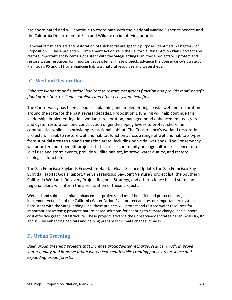has coordinated and will continue to coordinate with the National Marine Fisheries Service and the California Department of Fish and Wildlife on identifying priorities.

Removal of fish barriers and restoration of fish habitat are specific purposes identified in Chapter 6 of Proposition 1. These projects will implement Action #4 in the California Water Action Plan - protect and restore important ecosystems. Consistent with the Safeguarding Plan, these projects will protect and restore water resources for important ecosystems. These projects advance the Conservancy's Strategic Plan Goals #5 and #11 by enhancing habitats, natural resources and watersheds.

#### **C. Wetland Restoration**

*Enhance wetlands and subtidal habitats to restore ecosystem function and provide multi-benefit flood protection, resilient shorelines and other ecosystem benefits.*

The Conservancy has been a leader in planning and implementing coastal wetland restoration around the state for the past several decades. Proposition 1 funding will help continue this leadership, implementing tidal wetlands restoration, managed pond enhancement, eelgrass and oyster restoration, and construction of gently-sloping levees to protect shoreline communities while also providing transitional habitat. The Conservancy's wetland restoration projects will seek to restore wetland habitat function across a range of wetland habitats types, from subtidal areas to upland transition areas, including non-tidal wetlands. The Conservancy will prioritize multi-benefit projects that increase community and agricultural resilience to sea level rise and storm events, provide wildlife habitat, improve water quality, and restore ecological function.

The San Francisco Baylands Ecosystem Habitat Goals Science Update, the San Francisco Bay Subtidal Habitat Goals Report, the San Francisco Bay Joint Venture's project list, the Southern California Wetlands Recovery Project Regional Strategy, and other science based state and regional plans will inform the prioritization of these projects.

Wetland and subtidal habitat enhancement projects and multi-benefit flood protection projects implement Action #4 of the California Water Action Plan- protect and restore important ecosystems. Consistent with the Safeguarding Plan, these projects will protect and restore water resources for important ecosystems; promote nature-based solutions for adapting to climate change, and support cost effective green infrastructure. These projects advance the Conservancy's Strategic Plan Goals #5, #7 and #11 by enhancing habitats and helping prepare for climate change impacts.

#### <span id="page-6-0"></span>**D. Urban Greening**

*Build urban greening projects that increase groundwater recharge, reduce runoff, improve water quality and improve urban watershed health while creating public green-space and expanding urban forests.*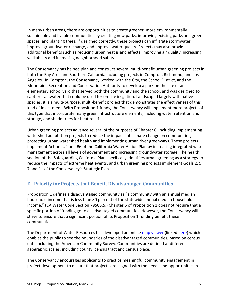In many urban areas, there are opportunities to create greener, more environmentally sustainable and livable communities by creating new parks, improving existing parks and green spaces, and planting trees. If designed correctly, these projects can infiltrate stormwater, improve groundwater recharge, and improve water quality. Projects may also provide additional benefits such as reducing urban heat island effects, improving air quality, increasing walkability and increasing neighborhood safety.

The Conservancy has helped plan and construct several multi-benefit urban greening projects in both the Bay Area and Southern California including projects in Compton, Richmond, and Los Angeles. In Compton, the Conservancy worked with the City, the School District, and the Mountains Recreation and Conservation Authority to develop a park on the site of an elementary school yard that served both the community and the school, and was designed to capture rainwater that could be used for on-site irrigation. Landscaped largely with native species, it is a multi-purpose, multi-benefit project that demonstrates the effectiveness of this kind of investment. With Proposition 1 funds, the Conservancy will implement more projects of this type that incorporate many green infrastructure elements, including water retention and storage, and shade trees for heat relief.

Urban greening projects advance several of the purposes of Chapter 6, including implementing watershed adaptation projects to reduce the impacts of climate change on communities, protecting urban watershed health and implementing urban river greenways. These projects implement Actions #2 and #6 of the California Water Action Plan by increasing integrated water management across all levels of government and increasing groundwater storage. The health section of the Safeguarding California Plan specifically identifies urban greening as a strategy to reduce the impacts of extreme heat events, and urban greening projects implement Goals 2, 5, 7 and 11 of the Conservancy's Strategic Plan.

#### <span id="page-7-0"></span>**E. Priority for Projects that Benefit Disadvantaged Communities**

Proposition 1 defines a disadvantaged community as "a community with an annual median household income that is less than 80 percent of the statewide annual median household income." (CA Water Code Section 79505.5.) Chapter 6 of Proposition 1 does not require that a specific portion of funding go to disadvantaged communities. However, the Conservancy will strive to ensure that a significant portion of its Proposition 1 funding benefit these communities.

The Department of Water Resources has developed an online [map viewer](https://gis.water.ca.gov/app/dacs/) (linked [here\)](https://gis.water.ca.gov/app/dacs/) which enables the public to see the boundaries of the disadvantaged communities, based on census data including the American Community Survey. Communities are defined at different geographic scales, including county, census tract and census place.

The Conservancy encourages applicants to practice meaningful community engagement in project development to ensure that projects are aligned with the needs and opportunities in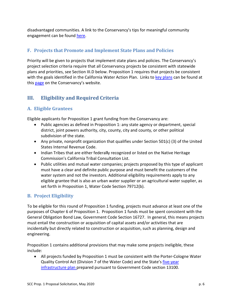disadvantaged communities. A link to the Conservancy's tips for meaningful community engagement can be found [here.](https://scc.ca.gov/files/2019/07/Tips-for-Meaningful-Community-Engagement.pdf)

#### <span id="page-8-0"></span>**F. Projects that Promote and Implement State Plans and Policies**

Priority will be given to projects that implement state plans and policies. The Conservancy's project selection criteria require that all Conservancy projects be consistent with statewide plans and priorities, see Section III.D below. Proposition 1 requires that projects be consistent with the goals identified in the California Water Action Plan. Links to [key plans](http://scc.ca.gov/about/regional-and-statewide-plans/) can be found at this [page](http://scc.ca.gov/about/regional-and-statewide-plans/) on the Conservancy's website.

#### <span id="page-8-1"></span>**III. Eligibility and Required Criteria**

#### <span id="page-8-2"></span>**A. Eligible Grantees**

Eligible applicants for Proposition 1 grant funding from the Conservancy are:

- Public agencies as defined in Proposition 1: any state agency or department, special district, joint powers authority, city, county, city and county, or other political subdivision of the state.
- Any private, nonprofit organization that qualifies under Section 501(c) (3) of the United States Internal Revenue Code.
- Indian Tribes that are either federal**l**y recognized or listed on the Native Heritage Commission's California Tribal Consultation List.
- Public utilities and mutual water companies; projects proposed by this type of applicant must have a clear and definite public purpose and must benefit the customers of the water system and not the investors. Additional eligibility requirements apply to any eligible grantee that is also an urban water supplier or an agricultural water supplier, as set forth in Proposition 1, Water Code Section 79712(b).

#### <span id="page-8-3"></span>**B. Project Eligibility**

To be eligible for this round of Proposition 1 funding, projects must advance at least one of the purposes of Chapter 6 of Proposition 1. Proposition 1 funds must be spent consistent with the General Obligation Bond Law, Government Code Section 16727. In general, this means projects must entail the construction or acquisition of capital assets and/or activities that are incidentally but directly related to construction or acquisition, such as planning, design and engineering.

Proposition 1 contains additional provisions that may make some projects ineligible, these include:

• All projects funded by Proposition 1 must be consistent with the Porter-Cologne Water Quality Control Act (Division 7 of the Water Code) and the State's [five-year](http://www.ebudget.ca.gov/2015-Infrastructure-Plan.pdf)  [infrastructure plan p](http://www.ebudget.ca.gov/2015-Infrastructure-Plan.pdf)repared pursuant to Government Code section 13100.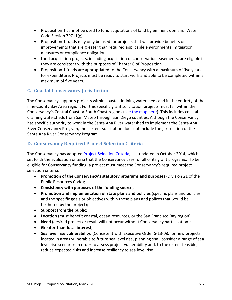- Proposition 1 cannot be used to fund acquisitions of land by eminent domain. Water Code Section 79711(g).
- Proposition 1 funds may only be used for projects that will provide benefits or improvements that are greater than required applicable environmental mitigation measures or compliance obligations.
- Land acquisition projects, including acquisition of conservation easements, are eligible if they are consistent with the purposes of Chapter 6 of Proposition 1.
- Proposition 1 funds are appropriated to the Conservancy with a maximum of five years for expenditure. Projects must be ready to start work and able to be completed within a maximum of five years.

#### <span id="page-9-0"></span>**C. Coastal Conservancy Jurisdiction**

<span id="page-9-1"></span>The Conservancy supports projects within coastal draining watersheds and in the entirety of the nine-county Bay Area region. For this specific grant solicitation projects must fall within the Conservancy's Central Coast or South Coast regions [\(see the map here\)](https://scc.ca.gov/files/2020/05/Prop-1-Map-Central-and-South-Coast.jpg). This includes coastal draining watersheds from San Mateo through San Diego counties. Although the Conservancy has specific authority to work in the Santa Ana River watershed to implement the Santa Ana River Conservancy Program, the current solicitation does not include the jurisdiction of the Santa Ana River Conservancy Program.

#### **D. Conservancy Required Project Selection Criteria**

The Conservancy has adopted [Project Selection Criteria,](http://scc.ca.gov/grants/project-selection-criteria/) last updated in October 2014, which set forth the evaluation criteria that the Conservancy uses for all of its grant programs. To be eligible for Conservancy funding, a project must meet the Conservancy's required project selection criteria:

- **Promotion of the Conservancy's statutory programs and purposes** (Division 21 of the Public Resources Code);
- **Consistency with purposes of the funding source;**
- **Promotion and implementation of state plans and policies** (specific plans and policies and the specific goals or objectives within those plans and polices that would be furthered by the project);
- **Support from the public;**
- **Location** (must benefit coastal, ocean resources, or the San Francisco Bay region);
- **Need** (desired project or result will not occur without Conservancy participation);
- **Greater-than-local interest;**
- **Sea level rise vulnerability.** (Consistent with Executive Order S-13-08, for new projects located in areas vulnerable to future sea level rise, planning shall consider a range of sea level rise scenarios in order to assess project vulnerability and, to the extent feasible, reduce expected risks and increase resiliency to sea level rise.)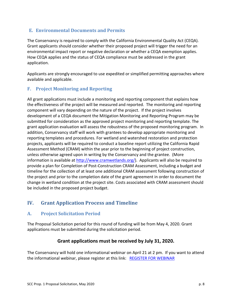#### <span id="page-10-0"></span>**E. Environmental Documents and Permits**

The Conservancy is required to comply with the California Environmental Quality Act (CEQA). Grant applicants should consider whether their proposed project will trigger the need for an environmental impact report or negative declaration or whether a CEQA exemption applies. How CEQA applies and the status of CEQA compliance must be addressed in the grant application.

Applicants are strongly encouraged to use expedited or simplified permitting approaches where available and applicable.

#### <span id="page-10-1"></span>**F. Project Monitoring and Reporting**

All grant applications must include a monitoring and reporting component that explains how the effectiveness of the project will be measured and reported. The monitoring and reporting component will vary depending on the nature of the project. If the project involves development of a CEQA document the Mitigation Monitoring and Reporting Program may be submitted for consideration as the approved project monitoring and reporting template. The grant application evaluation will assess the robustness of the proposed monitoring program. In addition, Conservancy staff will work with grantees to develop appropriate monitoring and reporting templates and procedures. For wetland and watershed restoration and protection projects, applicants will be required to conduct a baseline report utilizing the California Rapid Assessment Method (CRAM) within the year prior to the beginning of project construction, unless otherwise agreed upon in writing by the Conservancy and the grantee. (More information is available at [http://www.cramwetlands.org/\)](http://www.cramwetlands.org/). Applicants will also be required to provide a plan for Completion of Post-Construction CRAM Assessment, including a budget and timeline for the collection of at least one additional CRAM assessment following construction of the project and prior to the completion date of the grant agreement in order to document the change in wetland condition at the project site. Costs associated with CRAM assessment should be included in the proposed project budget.

#### <span id="page-10-2"></span>**IV. Grant Application Process and Timeline**

#### <span id="page-10-3"></span>**A. Project Solicitation Period**

The Proposal Solicitation period for this round of funding will be from May 4, 2020. Grant applications must be submitted during the solicitation period.

#### **Grant applications must be received by July 31, 2020.**

The Conservancy will hold one informational webinar on April 21 at 2 pm. If you want to attend the informational webinar, please register at this link: [REGISTER FOR WEBINAR](https://attendee.gotowebinar.com/register/7108520101384291088)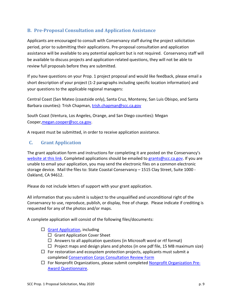#### <span id="page-11-0"></span>**B. Pre-Proposal Consultation and Application Assistance**

Applicants are encouraged to consult with Conservancy staff during the project solicitation period, prior to submitting their applications. Pre-proposal consultation and application assistance will be available to any potential applicant but is not required. Conservancy staff will be available to discuss projects and application-related questions, they will not be able to review full proposals before they are submitted.

If you have questions on your Prop. 1 project proposal and would like feedback, please email a short description of your project (1-2 paragraphs including specific location information) and your questions to the applicable regional managers:

Central Coast (San Mateo (coastside only), Santa Cruz, Monterey, San Luis Obispo, and Santa Barbara counties): Trish Chapman, [trish.chapman@scc.ca.gov](mailto:trish.chapman@scc.ca.gov)

South Coast (Ventura, Los Angeles, Orange, and San Diego counties): Megan Cooper[,megan.cooper@scc.ca.gov.](mailto:megan.cooper@scc.ca.gov)

A request must be submitted, in order to receive application assistance.

#### <span id="page-11-1"></span>**C. Grant Application**

The grant application form and instructions for completing it are posted on the Conservancy's [website](http://scc.ca.gov/grants/proposition-1-grants/) at this [link.](http://scc.ca.gov/grants/proposition-1-grants/) Completed applications should be emailed to [grants@scc.ca.gov.](file://Coast10/share/SCC%20Grant%20Programs/Prop%201/Round%2011%20-%20Open%20Winter%2018-19/grants@scc.ca.gov) If you are unable to email your application, you may send the electronic files on a common electronic storage device. Mail the files to: State Coastal Conservancy – 1515 Clay Street, Suite 1000 - Oakland, CA 94612.

Please do not include letters of support with your grant application.

All information that you submit is subject to the unqualified and unconditional right of the Conservancy to use, reproduce, publish, or display, free of charge. Please indicate if crediting is requested for any of the photos and/or maps.

A complete application will consist of the following files/documents:

- $\Box$  [Grant Application,](https://scc.ca.gov/files/2020/05/SCC_P1R13_application.docx) including
	- $\Box$  Grant Application Cover Sheet
	- $\Box$  Answers to all application questions (in Microsoft word or rtf format)
	- $\Box$  Project maps and design plans and photos (in one pdf file, 15 MB maximum size)
- $\Box$  For restoration and ecosystem protection projects, applicants must submit a completed [Conservation Corps Consultation Review Form](http://scc.ca.gov/files/2018/12/2018-Corps-Prop-1-Consultation-Process-and-Form-Rev.-12-2018.pdf)
- $\Box$  For Nonprofit Organizations, please submit completed **Nonprofit Organization Pre-**[Award Questionnaire.](https://scc.ca.gov/files/2019/07/SCC_Grant_Appl-NPO_PreAwardQuestionnaire.pdf)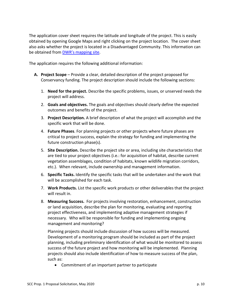The application cover sheet requires the latitude and longitude of the project. This is easily obtained by opening Google Maps and right clicking on the project location. The cover sheet also asks whether the project is located in a Disadvantaged Community. This information can be obtained from [DWR's mapping site.](http://www.water.ca.gov/irwm/grants/resources_dac.cfm)

The application requires the following additional information:

- **A. Project Scope** Provide a clear, detailed description of the project proposed for Conservancy funding. The project description should include the following sections:
	- 1. **Need for the project.** Describe the specific problems, issues, or unserved needs the project will address.
	- 2. **Goals and objectives.** The goals and objectives should clearly define the expected outcomes and benefits of the project.
	- 3. **Project Description.** A brief description of what the project will accomplish and the specific work that will be done.
	- 4. **Future Phases**. For planning projects or other projects where future phases are critical to project success, explain the strategy for funding and implementing the future construction phase(s).
	- 5. **Site Description.** Describe the project site or area, including site characteristics that are tied to your project objectives (i.e.: for acquisition of habitat, describe current vegetation assemblages, condition of habitats, known wildlife migration corridors, etc.). When relevant, include ownership and management information.
	- 6. **Specific Tasks.** Identify the specific tasks that will be undertaken and the work that will be accomplished for each task.
	- 7. **Work Products.** List the specific work products or other deliverables that the project will result in.
	- 8. **Measuring Success.** For projects involving restoration, enhancement, construction or land acquisition, describe the plan for monitoring, evaluating and reporting project effectiveness, and implementing adaptive management strategies if necessary. Who will be responsible for funding and implementing ongoing management and monitoring?

Planning projects should include discussion of how success will be measured. Development of a monitoring program should be included as part of the project planning, including preliminary identification of what would be monitored to assess success of the future project and how monitoring will be implemented. Planning projects should also include identification of how to measure success of the plan, such as:

• Commitment of an important partner to participate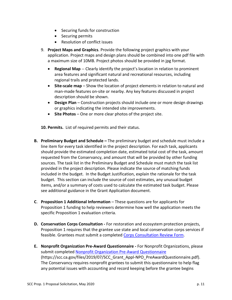- Securing funds for construction
- Securing permits
- Resolution of conflict issues
- 9. **Project Maps and Graphics**. Provide the following project graphics with your application. Project maps and design plans should be combined into one pdf file with a maximum size of 10MB. Project photos should be provided in jpg format.
	- **Regional Map** -- Clearly identify the project's location in relation to prominent area features and significant natural and recreational resources, including regional trails and protected lands.
	- **Site-scale map** Show the location of project elements in relation to natural and man-made features on-site or nearby. Any key features discussed in project description should be shown.
	- **Design Plan** Construction projects should include one or more design drawings or graphics indicating the intended site improvements.
	- **Site Photos** One or more clear photos of the project site.

**10. Permits.** List of required permits and their status.

- **B. Preliminary Budget and Schedule –** The preliminary budget and schedule must include a line item for every task identified in the project description. For each task, applicants should provide the estimated completion date, estimated total cost of the task, amount requested from the Conservancy, and amount that will be provided by other funding sources. The task list in the Preliminary Budget and Schedule must match the task list provided in the project description. Please indicate the source of matching funds included in the budget. In the Budget Justification, explain the rationale for the task budget. This section can include the source of cost estimates, any unusual budget items, and/or a summary of costs used to calculate the estimated task budget. Please see additional guidance in the Grant Application document.
- **C**. **Proposition 1 Additional Information** These questions are for applicants for Proposition 1 funding to help reviewers determine how well the application meets the specific Proposition 1 evaluation criteria.
- **D. Conservation Corps Consultation -** For restoration and ecosystem protection projects, Proposition 1 requires that the grantee use state and local conservation corps services if feasible. Grantees must submit a completed [Corps Consultation Review Form.](http://scc.ca.gov/files/2018/12/2018-Corps-Prop-1-Consultation-Process-and-Form-Rev.-12-2018.pdf)
- **E. Nonprofit Organization Pre-Award Questionnaire -** For Nonprofit Organizations, please submit completed [Nonprofit Organization Pre-Award Questionnaire](https://scc.ca.gov/files/2019/07/SCC_Grant_Appl-NPO_PreAwardQuestionnaire.pdf) (https://scc.ca.gov/files/2019/07/SCC\_Grant\_Appl-NPO\_PreAwardQuestionnaire.pdf). The Conservancy requires nonprofit grantees to submit this questionnaire to help flag any potential issues with accounting and record keeping before the grantee begins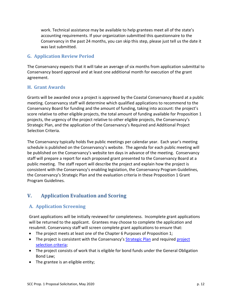work. Technical assistance may be available to help grantees meet all of the state's accounting requirements. If your organization submitted this questionnaire to the Conservancy in the past 24 months, you can skip this step, please just tell us the date it was last submitted.

#### <span id="page-14-0"></span>**G. Application Review Period**

The Conservancy expects that it will take an average of six months from application submittal to Conservancy board approval and at least one additional month for execution of the grant agreement.

#### <span id="page-14-1"></span>**H. Grant Awards**

Grants will be awarded once a project is approved by the Coastal Conservancy Board at a public meeting. Conservancy staff will determine which qualified applications to recommend to the Conservancy Board for funding and the amount of funding, taking into account: the project's score relative to other eligible projects, the total amount of funding available for Proposition 1 projects, the urgency of the project relative to other eligible projects, the Conservancy's Strategic Plan, and the application of the Conservancy's Required and Additional Project Selection Criteria.

The Conservancy typically holds five public meetings per calendar year. Each year's meeting schedule is published on the Conservancy's website. The agenda for each public meeting will be published on the Conservancy's website ten days in advance of the meeting. Conservancy staff will prepare a report for each proposed grant presented to the Conservancy Board at a public meeting. The staff report will describe the project and explain how the project is consistent with the Conservancy's enabling legislation, the Conservancy Program Guidelines, the Conservancy's Strategic Plan and the evaluation criteria in these Proposition 1 Grant Program Guidelines.

#### <span id="page-14-2"></span>**V. Application Evaluation and Scoring**

#### <span id="page-14-3"></span>**A. Application Screening**

Grant applications will be initially reviewed for completeness. Incomplete grant applications will be returned to the applicant. Grantees may choose to complete the application and resubmit. Conservancy staff will screen complete grant applications to ensure that:

- The project meets at least one of the Chapter 6 Purposes of Proposition 1;
- The project is consistent with the Conservancy's [Strategic Plan](http://scc.ca.gov/files/2018/01/CoastalConservancy_StrategicPlan_2018_2022.pdf) and required project [selection criteria;](http://scc.ca.gov/grants/project-selection-criteria/)
- The project consists of work that is eligible for bond funds under the General Obligation Bond Law;
- The grantee is an eligible entity;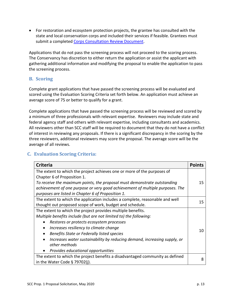• For restoration and ecosystem protection projects, the grantee has consulted with the state and local conservation corps and included their services if feasible. Grantees must submit a completed [Corps Consultation Review Document.](http://scc.ca.gov/files/2018/12/2018-Corps-Prop-1-Consultation-Process-and-Form-Rev.-12-2018.pdf)

Applications that do not pass the screening process will not proceed to the scoring process. The Conservancy has discretion to either return the application or assist the applicant with gathering additional information and modifying the proposal to enable the application to pass the screening process.

#### <span id="page-15-0"></span>**B. Scoring**

Complete grant applications that have passed the screening process will be evaluated and scored using the Evaluation Scoring Criteria set forth below. An application must achieve an average score of 75 or better to qualify for a grant.

Complete applications that have passed the screening process will be reviewed and scored by a minimum of three professionals with relevant expertise. Reviewers may include state and federal agency staff and others with relevant expertise, including consultants and academics. All reviewers other than SCC staff will be required to document that they do not have a conflict of interest in reviewing any proposals. If there is a significant discrepancy in the scoring by the three reviewers, additional reviewers may score the proposal. The average score will be the average of all reviews.

#### <span id="page-15-1"></span>**C. Evaluation Scoring Criteria:**

| <b>Criteria</b>                                                                                        | <b>Points</b> |
|--------------------------------------------------------------------------------------------------------|---------------|
| The extent to which the project achieves one or more of the purposes of<br>Chapter 6 of Proposition 1. |               |
| To receive the maximum points, the proposal must demonstrate outstanding                               | 15            |
| achievement of one purpose or very good achievement of multiple purposes. The                          |               |
| purposes are listed in Chapter 6 of Proposition 1.                                                     |               |
| The extent to which the application includes a complete, reasonable and well                           | 15            |
| thought out proposed scope of work, budget and schedule.                                               |               |
| The extent to which the project provides multiple benefits.                                            |               |
| Multiple benefits include (but are not limited to) the following:                                      |               |
| Restores or protects ecosystem processes                                                               |               |
| Increases resiliency to climate change<br>$\bullet$                                                    | 10            |
| Benefits State or Federally listed species<br>$\bullet$                                                |               |
| Increases water sustainability by reducing demand, increasing supply, or                               |               |
| other methods                                                                                          |               |
| Provides educational opportunities                                                                     |               |
| The extent to which the project benefits a disadvantaged community as defined                          |               |
| in the Water Code $\S$ 79702(j).                                                                       |               |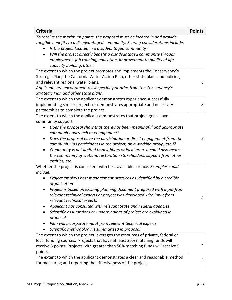| <b>Criteria</b>                                                                   | <b>Points</b> |  |
|-----------------------------------------------------------------------------------|---------------|--|
| To receive the maximum points, the proposal must be located in and provide        |               |  |
| tangible benefits to a disadvantaged community. Scoring considerations include:   |               |  |
| Is the project located in a disadvantaged community?                              |               |  |
| Will the project directly benefit a disadvantaged community through<br>$\bullet$  |               |  |
| employment, job training, education, improvement to quality of life,              |               |  |
| capacity building, other?                                                         |               |  |
| The extent to which the project promotes and implements the Conservancy's         |               |  |
| Strategic Plan, the California Water Action Plan, other state plans and policies, |               |  |
| and relevant regional water plans.                                                | 8             |  |
| Applicants are encouraged to list specific priorities from the Conservancy's      |               |  |
| Strategic Plan and other state plans.                                             |               |  |
| The extent to which the applicant demonstrates experience successfully            |               |  |
| implementing similar projects or demonstrates appropriate and necessary           | 8             |  |
| partnerships to complete the project.                                             |               |  |
| The extent to which the applicant demonstrates that project goals have            |               |  |
| community support.                                                                |               |  |
| Does the proposal show that there has been meaningful and appropriate             |               |  |
| community outreach or engagement?                                                 |               |  |
| Does the proposal have the participation or direct engagement from the            | 8             |  |
| community (as participants in the project, on a working group, etc.)?             |               |  |
| Community is not limited to neighbors or local area. It could also mean           |               |  |
| the community of wetland restoration stakeholders, support from other             |               |  |
| entities, etc.                                                                    |               |  |
| Whether the project is consistent with best available science. Examples could     |               |  |
| include:                                                                          |               |  |
| Project employs best management practices as identified by a credible             |               |  |
| organization                                                                      |               |  |
| Project is based on existing planning document prepared with input from           |               |  |
| relevant technical experts or project was developed with input from               |               |  |
| relevant technical experts                                                        | 8             |  |
| Applicant has consulted with relevant State and Federal agencies                  |               |  |
| Scientific assumptions or underpinnings of project are explained in               |               |  |
| proposal                                                                          |               |  |
| Plan will incorporate input from relevant technical experts                       |               |  |
| Scientific methodology is summarized in proposal                                  |               |  |
| The extent to which the project leverages the resources of private, federal or    |               |  |
| local funding sources. Projects that have at least 25% matching funds will        |               |  |
| receive 3 points. Projects with greater than 50% matching funds will receive 5    |               |  |
| points.                                                                           |               |  |
| The extent to which the applicant demonstrates a clear and reasonable method      | 5             |  |
| for measuring and reporting the effectiveness of the project.                     |               |  |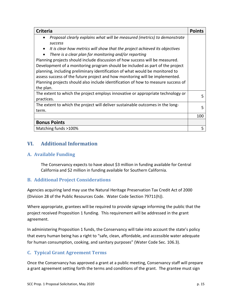| <b>Criteria</b>                                                                                                                                                                                                                                                                                                                                                                                                                                                                                                                                                                                                                                                      |     |
|----------------------------------------------------------------------------------------------------------------------------------------------------------------------------------------------------------------------------------------------------------------------------------------------------------------------------------------------------------------------------------------------------------------------------------------------------------------------------------------------------------------------------------------------------------------------------------------------------------------------------------------------------------------------|-----|
| Proposal clearly explains what will be measured (metrics) to demonstrate<br><b>SUCCESS</b><br>It is clear how metrics will show that the project achieved its objectives<br>There is a clear plan for monitoring and/or reporting<br>Planning projects should include discussion of how success will be measured.<br>Development of a monitoring program should be included as part of the project<br>planning, including preliminary identification of what would be monitored to<br>assess success of the future project and how monitoring will be implemented.<br>Planning projects should also include identification of how to measure success of<br>the plan. |     |
| The extent to which the project employs innovative or appropriate technology or<br>practices.                                                                                                                                                                                                                                                                                                                                                                                                                                                                                                                                                                        | 5   |
| The extent to which the project will deliver sustainable outcomes in the long-<br>term.                                                                                                                                                                                                                                                                                                                                                                                                                                                                                                                                                                              | 5   |
|                                                                                                                                                                                                                                                                                                                                                                                                                                                                                                                                                                                                                                                                      | 100 |
| <b>Bonus Points</b>                                                                                                                                                                                                                                                                                                                                                                                                                                                                                                                                                                                                                                                  |     |
| Matching funds >100%                                                                                                                                                                                                                                                                                                                                                                                                                                                                                                                                                                                                                                                 | 5   |

#### <span id="page-17-0"></span>**VI. Additional Information**

#### <span id="page-17-1"></span>**A. Available Funding**

The Conservancy expects to have about \$3 million in funding available for Central California and \$2 million in funding available for Southern California.

#### <span id="page-17-2"></span>**B. Additional Project Considerations**

Agencies acquiring land may use the Natural Heritage Preservation Tax Credit Act of 2000 (Division 28 of the Public Resources Code. Water Code Section 79711(h)).

Where appropriate, grantees will be required to provide signage informing the public that the project received Proposition 1 funding. This requirement will be addressed in the grant agreement.

In administering Proposition 1 funds, the Conservancy will take into account the state's policy that every human being has a right to "safe, clean, affordable, and accessible water adequate for human consumption, cooking, and sanitary purposes" (Water Code Sec. 106.3).

#### <span id="page-17-3"></span>**C. Typical Grant Agreement Terms**

Once the Conservancy has approved a grant at a public meeting, Conservancy staff will prepare a grant agreement setting forth the terms and conditions of the grant. The grantee must sign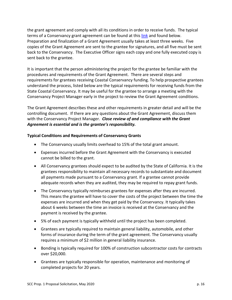the grant agreement and comply with all its conditions in order to receive funds. The typical terms of a Conservancy grant agreement can be found at this [link](https://scc.ca.gov/files/2019/04/Typical-Grant-Agreement-Terms.pdf) and found below. Preparation and finalization of a Grant Agreement usually takes at least three weeks. Five copies of the Grant Agreement are sent to the grantee for signatures, and all five must be sent back to the Conservancy. The Executive Officer signs each copy and one fully executed copy is sent back to the grantee.

It is important that the person administering the project for the grantee be familiar with the procedures and requirements of the Grant Agreement. There are several steps and requirements for grantees receiving Coastal Conservancy funding. To help prospective grantees understand the process, listed below are the typical requirements for receiving funds from the State Coastal Conservancy. It may be useful for the grantee to arrange a meeting with the Conservancy Project Manager early in the project to review the Grant Agreement conditions.

The Grant Agreement describes these and other requirements in greater detail and will be the controlling document. If there are any questions about the Grant Agreement, discuss them with the Conservancy Project Manager*. Close review of and compliance with the Grant Agreement is essential and is the grantee's responsibility.*

#### **Typical Conditions and Requirements of Conservancy Grants**

- The Conservancy usually limits overhead to 15% of the total grant amount.
- Expenses incurred before the Grant Agreement with the Conservancy is executed cannot be billed to the grant.
- All Conservancy grantees should expect to be audited by the State of California. It is the grantees responsibility to maintain all necessary records to substantiate and document all payments made pursuant to a Conservancy grant. If a grantee cannot provide adequate records when they are audited, they may be required to repay grant funds.
- The Conservancy typically reimburses grantees for expenses after they are incurred. This means the grantee will have to cover the costs of the project between the time the expenses are incurred and when they get paid by the Conservancy. It typically takes about 6 weeks between the time an invoice is received at the Conservancy and the payment is received by the grantee.
- 5% of each payment is typically withheld until the project has been completed.
- Grantees are typically required to maintain general liability, automobile, and other forms of insurance during the term of the grant agreement. The Conservancy usually requires a minimum of \$2 million in general liability insurance.
- Bonding is typically required for 100% of construction subcontractor costs for contracts over \$20,000.
- Grantees are typically responsible for operation, maintenance and monitoring of completed projects for 20 years.